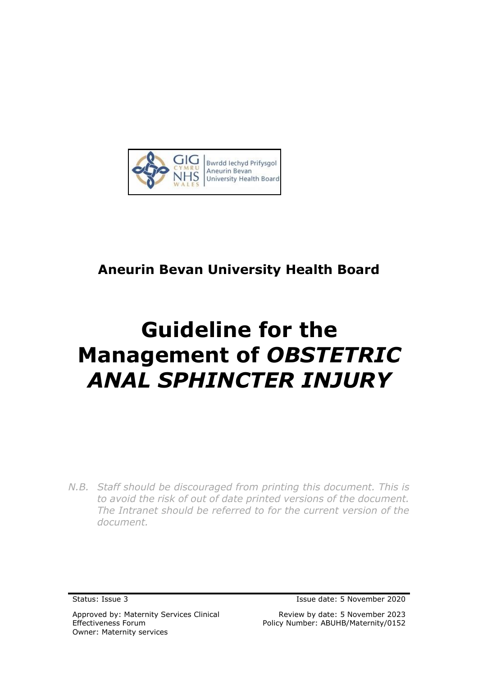

# **Aneurin Bevan University Health Board**

# **Guideline for the Management of** *OBSTETRIC ANAL SPHINCTER INJURY*

*N.B. Staff should be discouraged from printing this document. This is to avoid the risk of out of date printed versions of the document. The Intranet should be referred to for the current version of the document.*

Approved by: Maternity Services Clinical Effectiveness Forum Owner: Maternity services

Status: Issue 3 Issue date: 5 November 2020

Review by date: 5 November 2023 Policy Number: ABUHB/Maternity/0152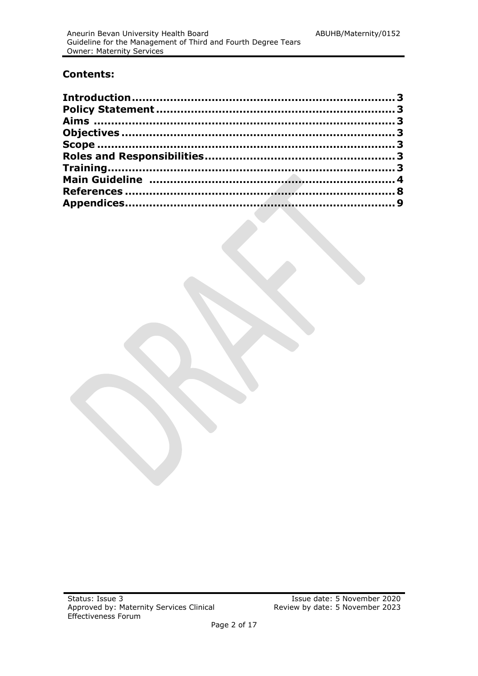### **Contents:**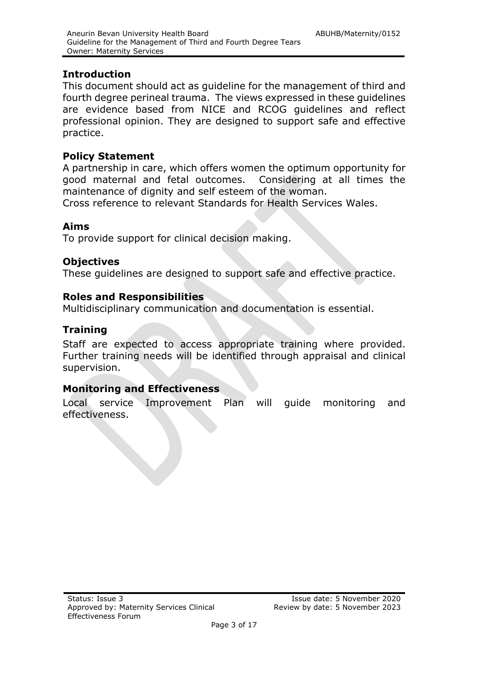## <span id="page-2-0"></span>**Introduction**

This document should act as guideline for the management of third and fourth degree perineal trauma. The views expressed in these guidelines are evidence based from NICE and RCOG guidelines and reflect professional opinion. They are designed to support safe and effective practice.

## <span id="page-2-1"></span>**Policy Statement**

A partnership in care, which offers women the optimum opportunity for good maternal and fetal outcomes. Considering at all times the maintenance of dignity and self esteem of the woman. Cross reference to relevant Standards for Health Services Wales.

### <span id="page-2-2"></span>**Aims**

To provide support for clinical decision making.

## <span id="page-2-3"></span>**Objectives**

These guidelines are designed to support safe and effective practice.

## <span id="page-2-4"></span>**Roles and Responsibilities**

Multidisciplinary communication and documentation is essential.

## **Training**

Staff are expected to access appropriate training where provided. Further training needs will be identified through appraisal and clinical supervision.

## **Monitoring and Effectiveness**

Local service Improvement Plan will guide monitoring and effectiveness.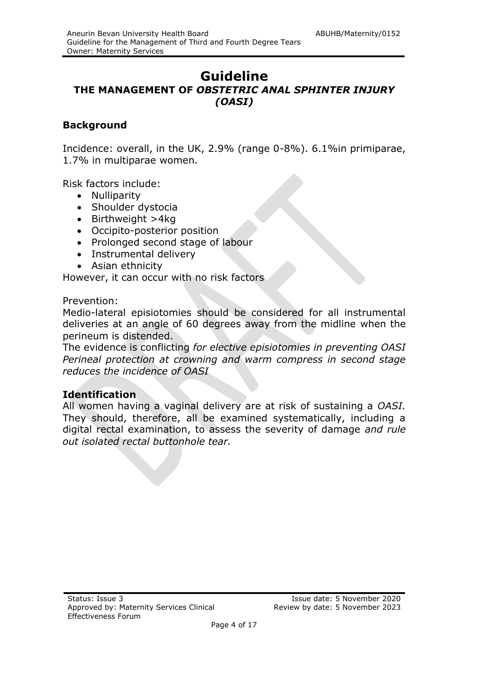## **Guideline THE MANAGEMENT OF** *OBSTETRIC ANAL SPHINTER INJURY (OASI)*

## **Background**

Incidence: overall, in the UK, 2.9% (range 0-8%). 6.1%in primiparae, 1.7% in multiparae women.

Risk factors include:

- Nulliparity
- Shoulder dystocia
- Birthweight >4kg
- Occipito-posterior position
- Prolonged second stage of labour
- Instrumental delivery
- Asian ethnicity

However, it can occur with no risk factors

Prevention:

Medio-lateral episiotomies should be considered for all instrumental deliveries at an angle of 60 degrees away from the midline when the perineum is distended.

The evidence is conflicting *for elective episiotomies in preventing OASI Perineal protection at crowning and warm compress in second stage reduces the incidence of OASI*

## **Identification**

All women having a vaginal delivery are at risk of sustaining a *OASI.* They should, therefore, all be examined systematically, including a digital rectal examination, to assess the severity of damage *and rule out isolated rectal buttonhole tear.*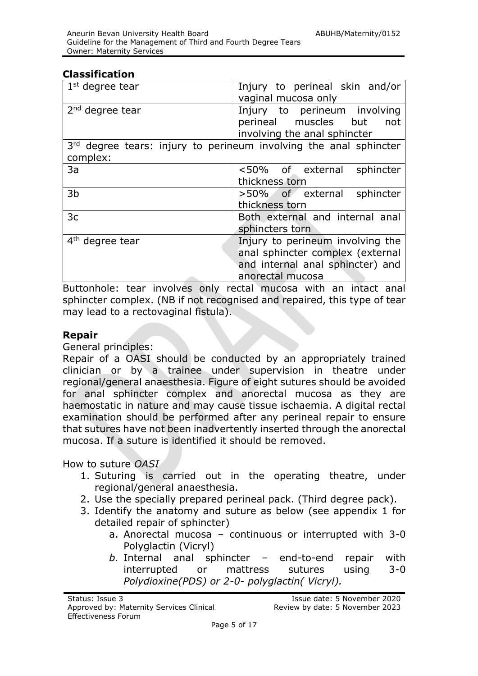### **Classification**

| $1st$ degree tear                                                             | Injury to perineal skin and/or<br>vaginal mucosa only                                                                        |  |
|-------------------------------------------------------------------------------|------------------------------------------------------------------------------------------------------------------------------|--|
| $2nd$ degree tear                                                             | Injury to perineum involving<br>perineal muscles but<br>not<br>involving the anal sphincter                                  |  |
| 3rd degree tears: injury to perineum involving the anal sphincter<br>complex: |                                                                                                                              |  |
| 3a                                                                            | <50% of external<br>sphincter<br>thickness torn                                                                              |  |
| 3b                                                                            | >50% of external sphincter<br>thickness torn                                                                                 |  |
| 3c                                                                            | Both external and internal anal<br>sphincters torn                                                                           |  |
| 4 <sup>th</sup> degree tear                                                   | Injury to perineum involving the<br>anal sphincter complex (external<br>and internal anal sphincter) and<br>anorectal mucosa |  |

Buttonhole: tear involves only rectal mucosa with an intact anal sphincter complex. (NB if not recognised and repaired, this type of tear may lead to a rectovaginal fistula).

### **Repair**

General principles:

Repair of a OASI should be conducted by an appropriately trained clinician or by a trainee under supervision in theatre under regional/general anaesthesia. Figure of eight sutures should be avoided for anal sphincter complex and anorectal mucosa as they are haemostatic in nature and may cause tissue ischaemia. A digital rectal examination should be performed after any perineal repair to ensure that sutures have not been inadvertently inserted through the anorectal mucosa. If a suture is identified it should be removed.

## How to suture *OASI*

- 1. Suturing is carried out in the operating theatre, under regional/general anaesthesia.
- 2. Use the specially prepared perineal pack. (Third degree pack).
- 3. Identify the anatomy and suture as below (see appendix 1 for detailed repair of sphincter)
	- a. Anorectal mucosa continuous or interrupted with 3-0 Polyglactin (Vicryl)
	- *b.* Internal anal sphincter end-to-end repair with interrupted or mattress sutures using 3-0 *Polydioxine(PDS) or 2-0- polyglactin( Vicryl).*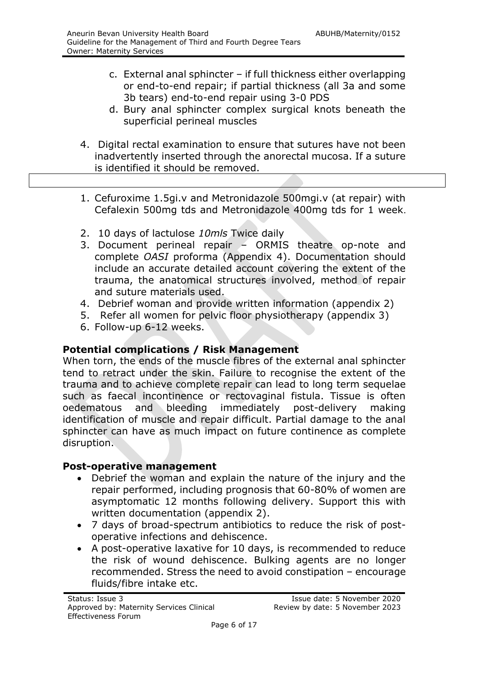- c. External anal sphincter if full thickness either overlapping or end-to-end repair; if partial thickness (all 3a and some 3b tears) end-to-end repair using 3-0 PDS
- d. Bury anal sphincter complex surgical knots beneath the superficial perineal muscles
- 4. Digital rectal examination to ensure that sutures have not been inadvertently inserted through the anorectal mucosa. If a suture is identified it should be removed.
- 1. Cefuroxime 1.5gi.v and Metronidazole 500mgi.v (at repair) with Cefalexin 500mg tds and Metronidazole 400mg tds for 1 week.
- 2. 10 days of lactulose *10mls* Twice daily
- 3. Document perineal repair ORMIS theatre op-note and complete *OASI* proforma (Appendix 4). Documentation should include an accurate detailed account covering the extent of the trauma, the anatomical structures involved, method of repair and suture materials used.
- 4. Debrief woman and provide written information (appendix 2)
- 5. Refer all women for pelvic floor physiotherapy (appendix 3)
- 6. Follow-up 6-12 weeks.

## **Potential complications / Risk Management**

When torn, the ends of the muscle fibres of the external anal sphincter tend to retract under the skin. Failure to recognise the extent of the trauma and to achieve complete repair can lead to long term sequelae such as faecal incontinence or rectovaginal fistula. Tissue is often oedematous and bleeding immediately post-delivery making identification of muscle and repair difficult. Partial damage to the anal sphincter can have as much impact on future continence as complete disruption.

## **Post-operative management**

- Debrief the woman and explain the nature of the injury and the repair performed, including prognosis that 60-80% of women are asymptomatic 12 months following delivery. Support this with written documentation (appendix 2).
- 7 days of broad-spectrum antibiotics to reduce the risk of postoperative infections and dehiscence.
- A post-operative laxative for 10 days, is recommended to reduce the risk of wound dehiscence. Bulking agents are no longer recommended. Stress the need to avoid constipation – encourage fluids/fibre intake etc.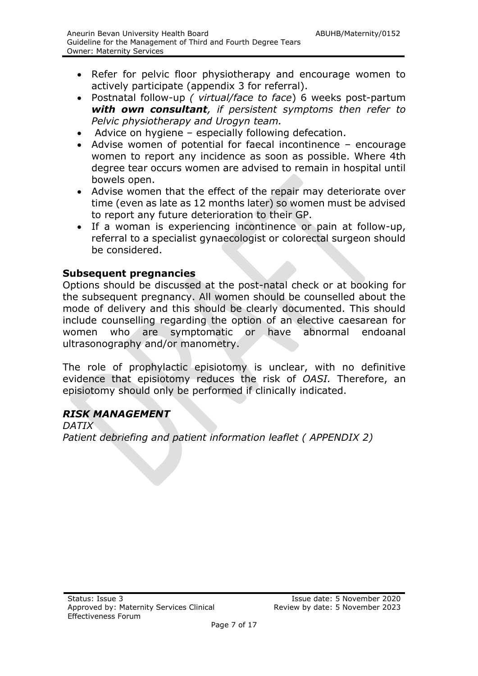- Refer for pelvic floor physiotherapy and encourage women to actively participate (appendix 3 for referral).
- Postnatal follow-up *( virtual/face to face*) 6 weeks post-partum *with own consultant, if persistent symptoms then refer to Pelvic physiotherapy and Urogyn team.*
- Advice on hygiene especially following defecation.
- Advise women of potential for faecal incontinence encourage women to report any incidence as soon as possible. Where 4th degree tear occurs women are advised to remain in hospital until bowels open.
- Advise women that the effect of the repair may deteriorate over time (even as late as 12 months later) so women must be advised to report any future deterioration to their GP.
- If a woman is experiencing incontinence or pain at follow-up, referral to a specialist gynaecologist or colorectal surgeon should be considered.

## **Subsequent pregnancies**

Options should be discussed at the post-natal check or at booking for the subsequent pregnancy. All women should be counselled about the mode of delivery and this should be clearly documented. This should include counselling regarding the option of an elective caesarean for women who are symptomatic or have abnormal endoanal ultrasonography and/or manometry.

The role of prophylactic episiotomy is unclear, with no definitive evidence that episiotomy reduces the risk of *OASI.* Therefore, an episiotomy should only be performed if clinically indicated.

## *RISK MANAGEMENT*

*DATIX Patient debriefing and patient information leaflet ( APPENDIX 2)*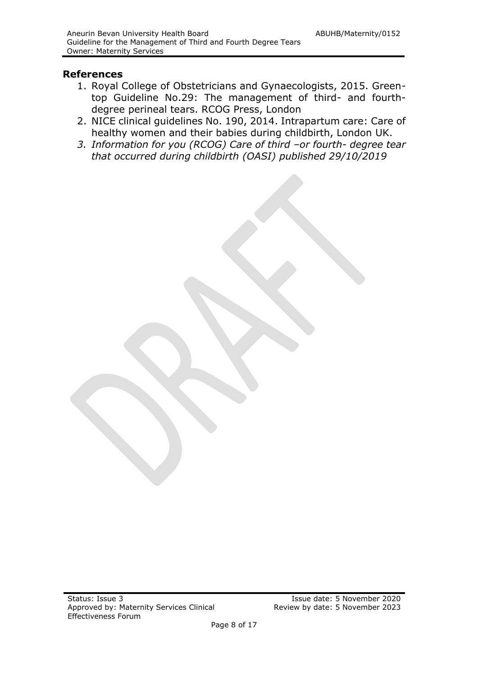#### **References**

- 1. Royal College of Obstetricians and Gynaecologists, 2015. Greentop Guideline No.29: The management of third- and fourthdegree perineal tears. RCOG Press, London
- 2. NICE clinical guidelines No. 190, 2014. Intrapartum care: Care of healthy women and their babies during childbirth, London UK.
- *3. Information for you (RCOG) Care of third –or fourth- degree tear that occurred during childbirth (OASI) published 29/10/2019*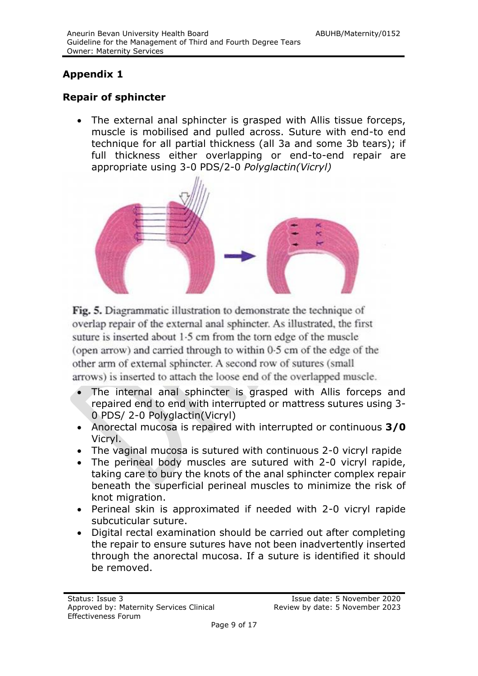## **Appendix 1**

## **Repair of sphincter**

 The external anal sphincter is grasped with Allis tissue forceps, muscle is mobilised and pulled across. Suture with end-to end technique for all partial thickness (all 3a and some 3b tears); if full thickness either overlapping or end-to-end repair are appropriate using 3-0 PDS/2-0 *Polyglactin(Vicryl)*



Fig. 5. Diagrammatic illustration to demonstrate the technique of overlap repair of the external anal sphincter. As illustrated, the first suture is inserted about 1.5 cm from the torn edge of the muscle (open arrow) and carried through to within 0.5 cm of the edge of the other arm of external sphincter. A second row of sutures (small arrows) is inserted to attach the loose end of the overlapped muscle.

- The internal anal sphincter is grasped with Allis forceps and repaired end to end with interrupted or mattress sutures using 3- 0 PDS/ 2-0 Polyglactin(Vicryl)
- Anorectal mucosa is repaired with interrupted or continuous **3/0** Vicryl.
- The vaginal mucosa is sutured with continuous 2-0 vicryl rapide
- The perineal body muscles are sutured with 2-0 vicryl rapide, taking care to bury the knots of the anal sphincter complex repair beneath the superficial perineal muscles to minimize the risk of knot migration.
- Perineal skin is approximated if needed with 2-0 vicryl rapide subcuticular suture.
- Digital rectal examination should be carried out after completing the repair to ensure sutures have not been inadvertently inserted through the anorectal mucosa. If a suture is identified it should be removed.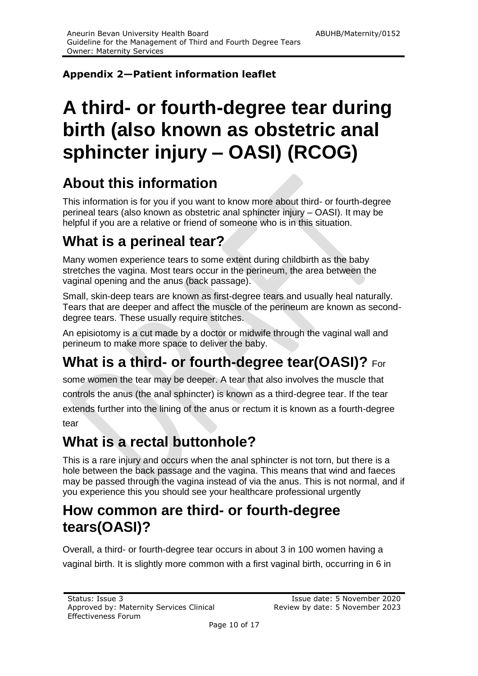## **Appendix 2—Patient information leaflet**

# **A third- or fourth-degree tear during birth (also known as obstetric anal sphincter injury – OASI) (RCOG)**

# **About this information**

This information is for you if you want to know more about third- or fourth-degree perineal tears (also known as obstetric anal sphincter injury – OASI). It may be helpful if you are a relative or friend of someone who is in this situation.

# **What is a perineal tear?**

Many women experience tears to some extent during childbirth as the baby stretches the vagina. Most tears occur in the perineum, the area between the vaginal opening and the anus (back passage).

Small, skin-deep tears are known as first-degree tears and usually heal naturally. Tears that are deeper and affect the muscle of the perineum are known as seconddegree tears. These usually require stitches.

An episiotomy is a cut made by a doctor or midwife through the vaginal wall and perineum to make more space to deliver the baby.

# **What is a third- or fourth-degree tear(OASI)?** For

some women the tear may be deeper. A tear that also involves the muscle that

controls the anus (the anal sphincter) is known as a third-degree tear. If the tear

extends further into the lining of the anus or rectum it is known as a fourth-degree tear

# **What is a rectal buttonhole?**

This is a rare injury and occurs when the anal sphincter is not torn, but there is a hole between the back passage and the vagina. This means that wind and faeces may be passed through the vagina instead of via the anus. This is not normal, and if you experience this you should see your healthcare professional urgently

# **How common are third- or fourth-degree tears(OASI)?**

Overall, a third- or fourth-degree tear occurs in about 3 in 100 women having a vaginal birth. It is slightly more common with a first vaginal birth, occurring in 6 in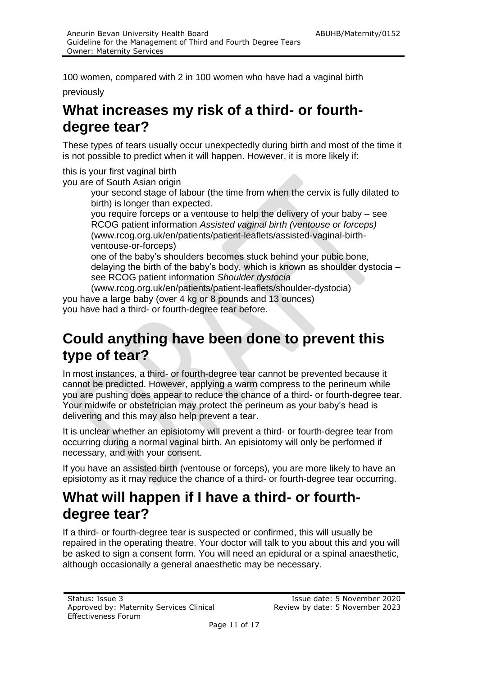100 women, compared with 2 in 100 women who have had a vaginal birth

previously

# **What increases my risk of a third- or fourthdegree tear?**

These types of tears usually occur unexpectedly during birth and most of the time it is not possible to predict when it will happen. However, it is more likely if:

this is your first vaginal birth

you are of South Asian origin

your second stage of labour (the time from when the cervix is fully dilated to birth) is longer than expected.

you require forceps or a ventouse to help the delivery of your baby – see RCOG patient information *Assisted vaginal birth (ventouse or forceps)*  (www.rcog.org.uk/en/patients/patient-leaflets/assisted-vaginal-birthventouse-or-forceps)

one of the baby's shoulders becomes stuck behind your pubic bone, delaying the birth of the baby's body, which is known as shoulder dystocia – see RCOG patient information *Shoulder dystocia* 

(www.rcog.org.uk/en/patients/patient-leaflets/shoulder-dystocia)

you have a large baby (over 4 kg or 8 pounds and 13 ounces) you have had a third- or fourth-degree tear before.

# **Could anything have been done to prevent this type of tear?**

In most instances, a third- or fourth-degree tear cannot be prevented because it cannot be predicted. However, applying a warm compress to the perineum while you are pushing does appear to reduce the chance of a third- or fourth-degree tear. Your midwife or obstetrician may protect the perineum as your baby's head is delivering and this may also help prevent a tear.

It is unclear whether an episiotomy will prevent a third- or fourth-degree tear from occurring during a normal vaginal birth. An episiotomy will only be performed if necessary, and with your consent.

If you have an assisted birth (ventouse or forceps), you are more likely to have an episiotomy as it may reduce the chance of a third- or fourth-degree tear occurring.

# **What will happen if I have a third- or fourthdegree tear?**

If a third- or fourth-degree tear is suspected or confirmed, this will usually be repaired in the operating theatre. Your doctor will talk to you about this and you will be asked to sign a consent form. You will need an epidural or a spinal anaesthetic, although occasionally a general anaesthetic may be necessary.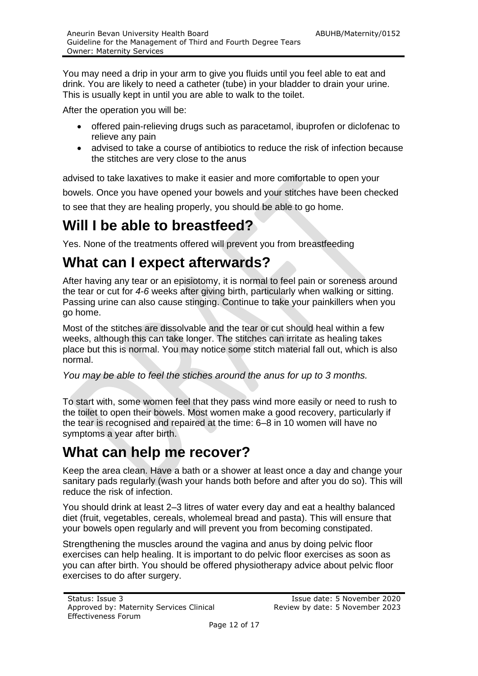You may need a drip in your arm to give you fluids until you feel able to eat and drink. You are likely to need a catheter (tube) in your bladder to drain your urine. This is usually kept in until you are able to walk to the toilet.

After the operation you will be:

- offered pain-relieving drugs such as paracetamol, ibuprofen or diclofenac to relieve any pain
- advised to take a course of antibiotics to reduce the risk of infection because the stitches are very close to the anus

advised to take laxatives to make it easier and more comfortable to open your bowels. Once you have opened your bowels and your stitches have been checked to see that they are healing properly, you should be able to go home.

# **Will I be able to breastfeed?**

Yes. None of the treatments offered will prevent you from breastfeeding

# **What can I expect afterwards?**

After having any tear or an episiotomy, it is normal to feel pain or soreness around the tear or cut for *4-6* weeks after giving birth, particularly when walking or sitting. Passing urine can also cause stinging. Continue to take your painkillers when you go home.

Most of the stitches are dissolvable and the tear or cut should heal within a few weeks, although this can take longer. The stitches can irritate as healing takes place but this is normal. You may notice some stitch material fall out, which is also normal.

*You may be able to feel the stiches around the anus for up to 3 months.*

To start with, some women feel that they pass wind more easily or need to rush to the toilet to open their bowels. Most women make a good recovery, particularly if the tear is recognised and repaired at the time: 6–8 in 10 women will have no symptoms a year after birth.

# **What can help me recover?**

Keep the area clean. Have a bath or a shower at least once a day and change your sanitary pads regularly (wash your hands both before and after you do so). This will reduce the risk of infection.

You should drink at least 2–3 litres of water every day and eat a healthy balanced diet (fruit, vegetables, cereals, wholemeal bread and pasta). This will ensure that your bowels open regularly and will prevent you from becoming constipated.

Strengthening the muscles around the vagina and anus by doing pelvic floor exercises can help healing. It is important to do pelvic floor exercises as soon as you can after birth. You should be offered physiotherapy advice about pelvic floor exercises to do after surgery.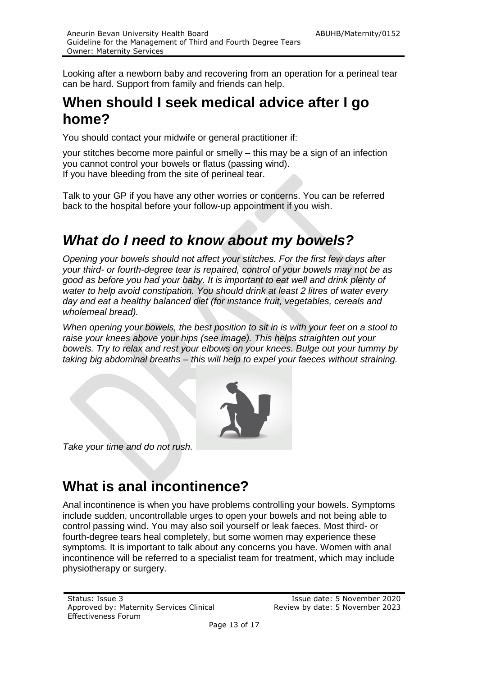Looking after a newborn baby and recovering from an operation for a perineal tear can be hard. Support from family and friends can help.

## **When should I seek medical advice after I go home?**

You should contact your midwife or general practitioner if:

your stitches become more painful or smelly – this may be a sign of an infection you cannot control your bowels or flatus (passing wind). If you have bleeding from the site of perineal tear.

Talk to your GP if you have any other worries or concerns. You can be referred back to the hospital before your follow-up appointment if you wish.

# *What do I need to know about my bowels?*

*Opening your bowels should not affect your stitches. For the first few days after your third- or fourth-degree tear is repaired, control of your bowels may not be as good as before you had your baby. It is important to eat well and drink plenty of water to help avoid constipation. You should drink at least 2 litres of water every day and eat a healthy balanced diet (for instance fruit, vegetables, cereals and wholemeal bread).*

When opening your bowels, the best position to sit in is with your feet on a stool to *raise your knees above your hips (see image). This helps straighten out your bowels. Try to relax and rest your elbows on your knees. Bulge out your tummy by taking big abdominal breaths – this will help to expel your faeces without straining.* 



*Take your time and do not rush.* 

# **What is anal incontinence?**

Anal incontinence is when you have problems controlling your bowels. Symptoms include sudden, uncontrollable urges to open your bowels and not being able to control passing wind. You may also soil yourself or leak faeces. Most third- or fourth-degree tears heal completely, but some women may experience these symptoms. It is important to talk about any concerns you have. Women with anal incontinence will be referred to a specialist team for treatment, which may include physiotherapy or surgery.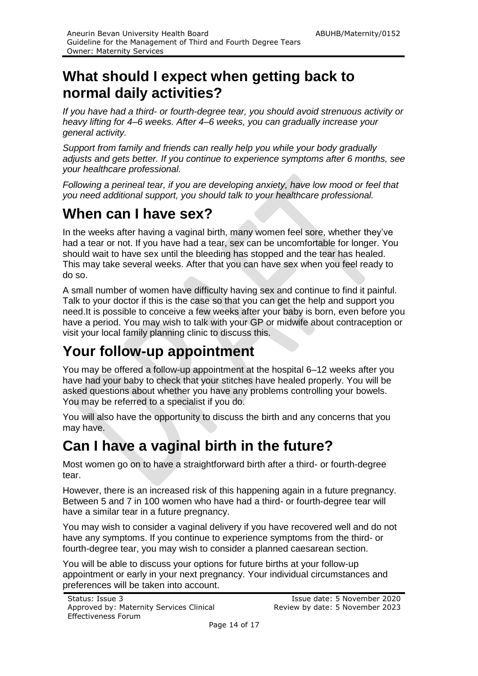# **What should I expect when getting back to normal daily activities?**

*If you have had a third- or fourth-degree tear, you should avoid strenuous activity or heavy lifting for 4–6 weeks. After 4–6 weeks, you can gradually increase your general activity.*

*Support from family and friends can really help you while your body gradually adjusts and gets better. If you continue to experience symptoms after 6 months, see your healthcare professional.*

*Following a perineal tear, if you are developing anxiety, have low mood or feel that you need additional support, you should talk to your healthcare professional.*

# **When can I have sex?**

In the weeks after having a vaginal birth, many women feel sore, whether they've had a tear or not. If you have had a tear, sex can be uncomfortable for longer. You should wait to have sex until the bleeding has stopped and the tear has healed. This may take several weeks. After that you can have sex when you feel ready to do so.

A small number of women have difficulty having sex and continue to find it painful. Talk to your doctor if this is the case so that you can get the help and support you need.It is possible to conceive a few weeks after your baby is born, even before you have a period. You may wish to talk with your GP or midwife about contraception or visit your local family planning clinic to discuss this.

# **Your follow-up appointment**

You may be offered a follow-up appointment at the hospital 6–12 weeks after you have had your baby to check that your stitches have healed properly. You will be asked questions about whether you have any problems controlling your bowels. You may be referred to a specialist if you do.

You will also have the opportunity to discuss the birth and any concerns that you may have.

# **Can I have a vaginal birth in the future?**

Most women go on to have a straightforward birth after a third- or fourth-degree tear.

However, there is an increased risk of this happening again in a future pregnancy. Between 5 and 7 in 100 women who have had a third- or fourth-degree tear will have a similar tear in a future pregnancy.

You may wish to consider a vaginal delivery if you have recovered well and do not have any symptoms. If you continue to experience symptoms from the third- or fourth-degree tear, you may wish to consider a planned caesarean section.

You will be able to discuss your options for future births at your follow-up appointment or early in your next pregnancy. Your individual circumstances and preferences will be taken into account.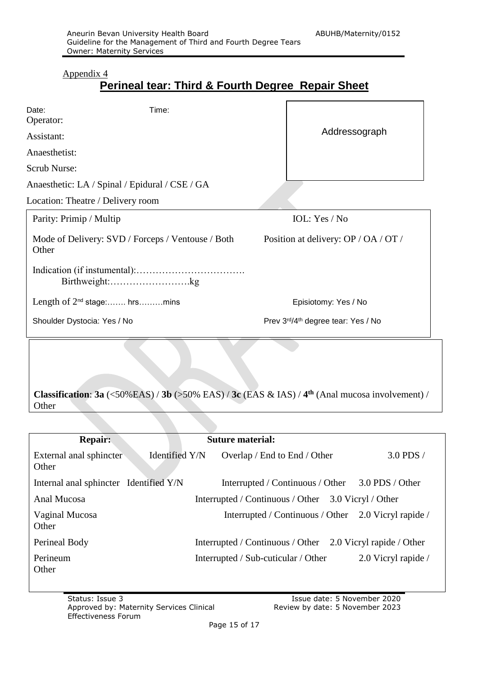#### Appendix 4

## **Perineal tear: Third & Fourth Degree Repair Sheet**

| Date:<br>Operator:                                         | Time: |                                                |
|------------------------------------------------------------|-------|------------------------------------------------|
| Assistant:                                                 |       | Addressograph                                  |
| Anaesthetist:                                              |       |                                                |
| Scrub Nurse:                                               |       |                                                |
| Anaesthetic: LA / Spinal / Epidural / CSE / GA             |       |                                                |
| Location: Theatre / Delivery room                          |       |                                                |
| Parity: Primip / Multip                                    |       | IOL: $Yes / No$                                |
| Mode of Delivery: SVD / Forceps / Ventouse / Both<br>Other |       | Position at delivery: OP / OA / OT /           |
| Birthweight:kg                                             |       |                                                |
| Length of $2^{nd}$ stage: hrsmins                          |       | Episiotomy: Yes / No                           |
| Shoulder Dystocia: Yes / No                                |       | Prev 3rd/4 <sup>th</sup> degree tear: Yes / No |

**Classification:**  $3a \left( \langle 50\% \text{EAS} \rangle / 3b \left( \rangle 50\% \text{EAS} \right) / 3c \left( \text{EAS} \& IAS \right) / 4^{\text{th}} \left( \text{Anal mucosa involvement} \right) /$ **Other** 

| Repair:                                |                                                        | <b>Suture material:</b>                                    |                     |
|----------------------------------------|--------------------------------------------------------|------------------------------------------------------------|---------------------|
| External anal sphincter<br>Other       | Identified Y/N                                         | Overlap / End to End / Other                               | $3.0$ PDS $\prime$  |
| Internal anal sphincter Identified Y/N |                                                        | Interrupted / Continuous / Other 3.0 PDS / Other           |                     |
| Anal Mucosa                            | Interrupted / Continuous / Other<br>3.0 Vicryl / Other |                                                            |                     |
| Vaginal Mucosa<br>Other                |                                                        | Interrupted / Continuous / Other 2.0 Vicryl rapide /       |                     |
| Perineal Body                          |                                                        | Interrupted / Continuous / Other 2.0 Vicryl rapide / Other |                     |
| Perineum<br>Other                      |                                                        | Interrupted / Sub-cuticular / Other                        | 2.0 Vicryl rapide / |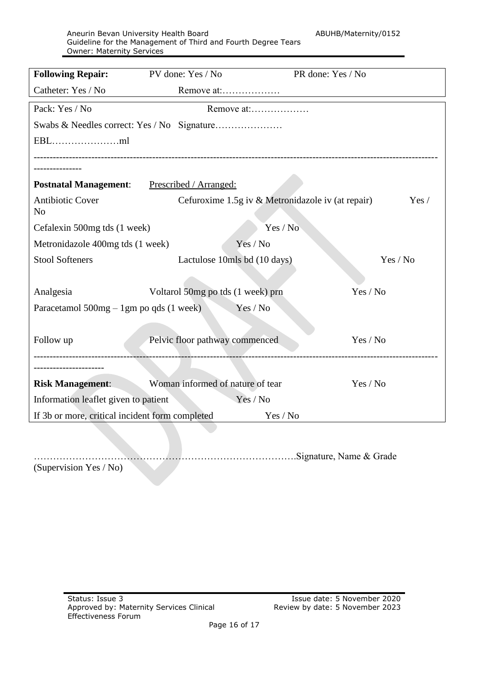Aneurin Bevan University Health Board ABUHB/Maternity/0152 Guideline for the Management of Third and Fourth Degree Tears Owner: Maternity Services

| <b>Following Repair:</b>                        | PV done: Yes / No                 | PR done: Yes / No                                          |  |  |
|-------------------------------------------------|-----------------------------------|------------------------------------------------------------|--|--|
| Catheter: Yes / No                              | Remove at:                        |                                                            |  |  |
| Pack: Yes / No                                  | Remove at:                        |                                                            |  |  |
|                                                 |                                   |                                                            |  |  |
|                                                 |                                   |                                                            |  |  |
|                                                 |                                   |                                                            |  |  |
| <b>Postnatal Management:</b>                    | Prescribed / Arranged:            |                                                            |  |  |
| <b>Antibiotic Cover</b><br>N <sub>o</sub>       |                                   | Cefuroxime 1.5g iv & Metronidazole iv (at repair)<br>Yes / |  |  |
| Cefalexin 500mg tds (1 week)                    |                                   | Yes / No                                                   |  |  |
| Metronidazole 400mg tds (1 week)                | Yes / No                          |                                                            |  |  |
| <b>Stool Softeners</b>                          | Lactulose 10mls bd (10 days)      | Yes / No                                                   |  |  |
| Analgesia                                       | Voltarol 50mg po tds (1 week) prn | Yes / No                                                   |  |  |
| Paracetamol $500mg - 1gm$ po qds (1 week)       | Yes / No                          |                                                            |  |  |
| Follow up                                       | Pelvic floor pathway commenced    |                                                            |  |  |
|                                                 |                                   |                                                            |  |  |
| <b>Risk Management:</b>                         | Woman informed of nature of tear  | Yes / No                                                   |  |  |
| Information leaflet given to patient            | Yes / No                          |                                                            |  |  |
| If 3b or more, critical incident form completed |                                   | Yes / No                                                   |  |  |

……………………………………………………………………….Signature, Name & Grade

(Supervision Yes / No)